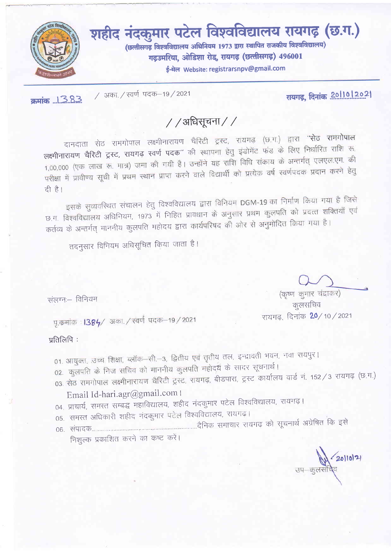

/ अका. / स्वर्ण पदक-19 / 2021 क्रमांक ... 1.3.8.3.

रायगढ़, दिनांक 20110 | 2021

## / /अधिसूचना / /

दानदाता सेठ रामगोपाल लक्ष्मीनारायण चैरिटी ट्रस्ट, रायगढ़ (छ.ग.) द्वारा "सेठ रामगोपाल लक्ष्मीनारायण चैरिटी ट्रस्ट, रायगढ़ स्वर्ण पदक" की स्थापना हेतु इंडोमेंट फंड के लिए निर्धारित राशि रू. 1,00,000 (एक लाख रू. मात्र) जमा की गयी है। उन्होंने यह राशि विधि संकाय के अन्तर्गत् एलएल.एम. की परीक्षा में प्रावीण्य सूची में प्रथम स्थान प्राप्त करने वाले विद्यार्थी को प्रत्येक वर्ष स्वर्णपदक प्रदान करने हेतु दी है।

इसके सुव्यवस्थित संचालन हेतु विश्वविद्यालय द्वारा विनियम DGM-19 का निर्माण किया गया है जिसे छ.ग. विश्वविद्यालय अधिनियम, 1973 में निहित प्रावधान के अनुसार प्रथम कुलपति को प्रदत्त शक्तियाँ एवं कर्तव्य के अन्तर्गत् माननीय कुलपति महोदय द्वारा कार्यपरिषद की ओर से अनुमोदित किया गया है।

तदनुसार विनियम अधिसूचित किया जाता है।

संलग्नः विनियम

पू.कमांक : 1384/ अका. / स्वर्ण पदक–19 / 2021

प्रतिलिपि:

- 01. आयुक्त, उच्च शिक्षा, ब्लॉक-सी.-3, द्वितीय एवं तृतीय तल, इन्द्रावती भवन, नवा रायपुर।
- 02. कुलपति के निज सचिव को माननीय कुलपति महोदय के सादर सूचनार्थ।
- 03. सेठ रामगोपाल लक्ष्मीनारायण चैरिटी ट्रस्ट, रायगढ़, बीडपारा, ट्रस्ट कार्यालय वार्ड नं. 152 / 3 रायगढ़ (छ.ग.) Email Id-hari.agr@gmail.com |
- 04, प्राचार्य, समस्त सम्बद्ध महाविद्यालय, शहीद नंदकुमार पटेल विश्वविद्यालय, रायगढ़।
- 05. समस्त अधिकारी शहीद नंदकुमार पटेल विश्वविद्यालय, रायगढ़।
- 

निशुल्क प्रकाशित करने का कष्ट करें।

∕ 20|10<sup>|21</sup><br>वैव

(कृष्ण कुमार चंद्राकर) कूलसचिव रायगढ, दिनांक 20/10/2021